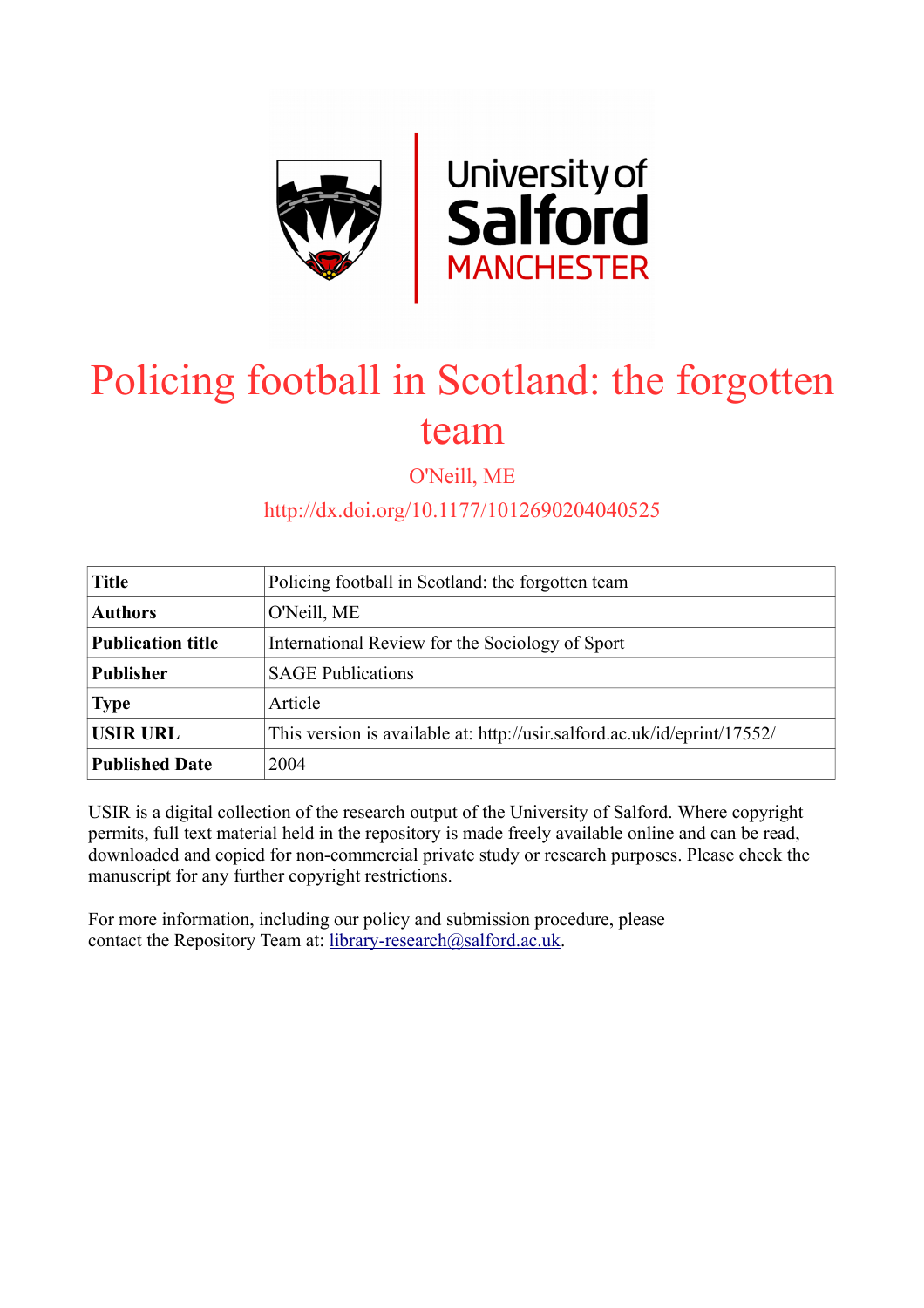

# Policing football in Scotland: the forgotten team

O'Neill, ME

http://dx.doi.org/10.1177/1012690204040525

| <b>Title</b>             | Policing football in Scotland: the forgotten team                        |
|--------------------------|--------------------------------------------------------------------------|
| <b>Authors</b>           | O'Neill, ME                                                              |
| <b>Publication title</b> | International Review for the Sociology of Sport                          |
| <b>Publisher</b>         | <b>SAGE Publications</b>                                                 |
| <b>Type</b>              | Article                                                                  |
| <b>USIR URL</b>          | This version is available at: http://usir.salford.ac.uk/id/eprint/17552/ |
| <b>Published Date</b>    | 2004                                                                     |

USIR is a digital collection of the research output of the University of Salford. Where copyright permits, full text material held in the repository is made freely available online and can be read, downloaded and copied for non-commercial private study or research purposes. Please check the manuscript for any further copyright restrictions.

For more information, including our policy and submission procedure, please contact the Repository Team at: [library-research@salford.ac.uk.](mailto:library-research@salford.ac.uk)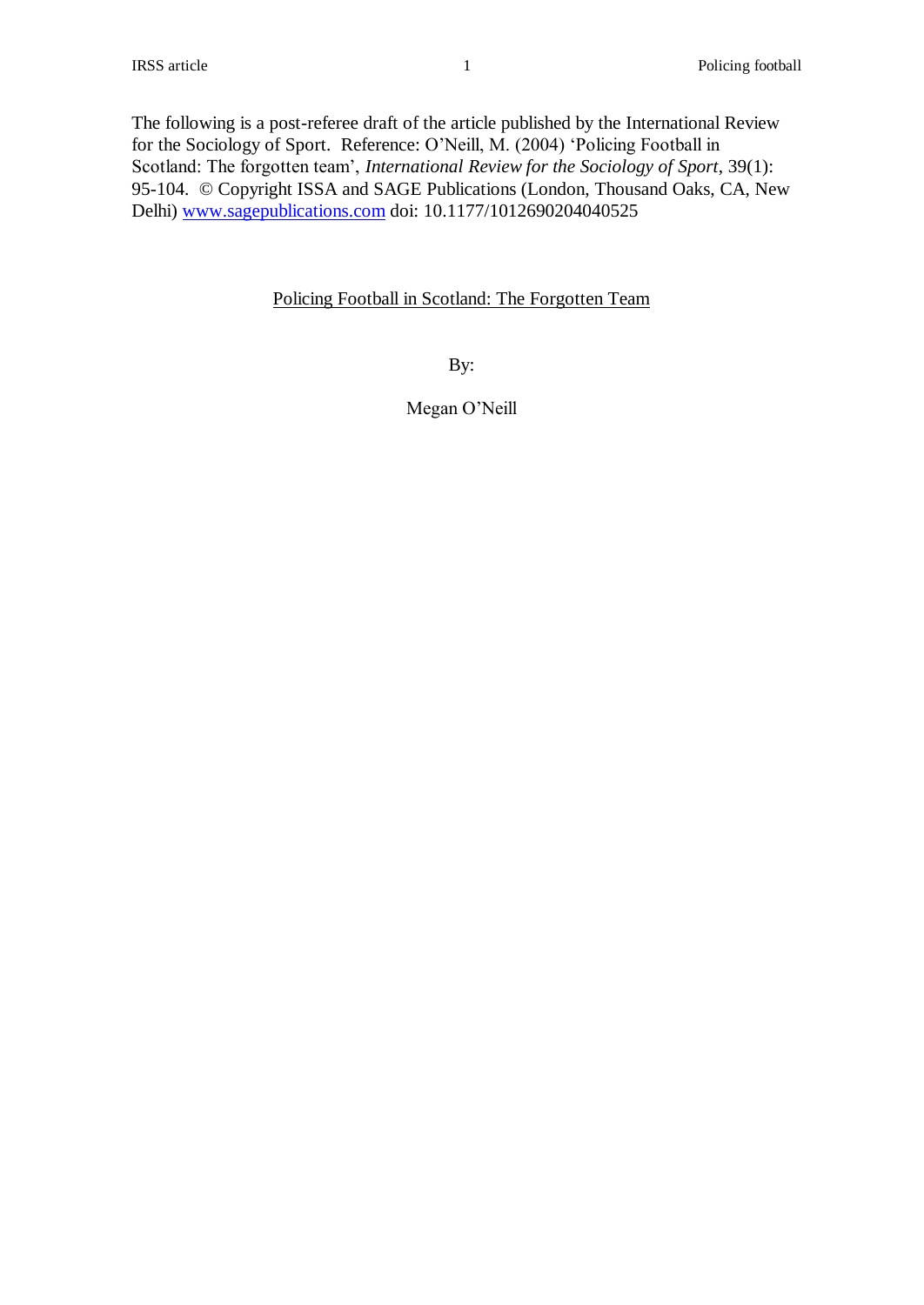The following is a post-referee draft of the article published by the International Review for the Sociology of Sport. Reference: O"Neill, M. (2004) "Policing Football in Scotland: The forgotten team", *International Review for the Sociology of Sport*, 39(1): 95-104. © Copyright ISSA and SAGE Publications (London, Thousand Oaks, CA, New Delhi) [www.sagepublications.com](http://www.sagepublications.com/) doi: 10.1177/1012690204040525

### Policing Football in Scotland: The Forgotten Team

By:

Megan O"Neill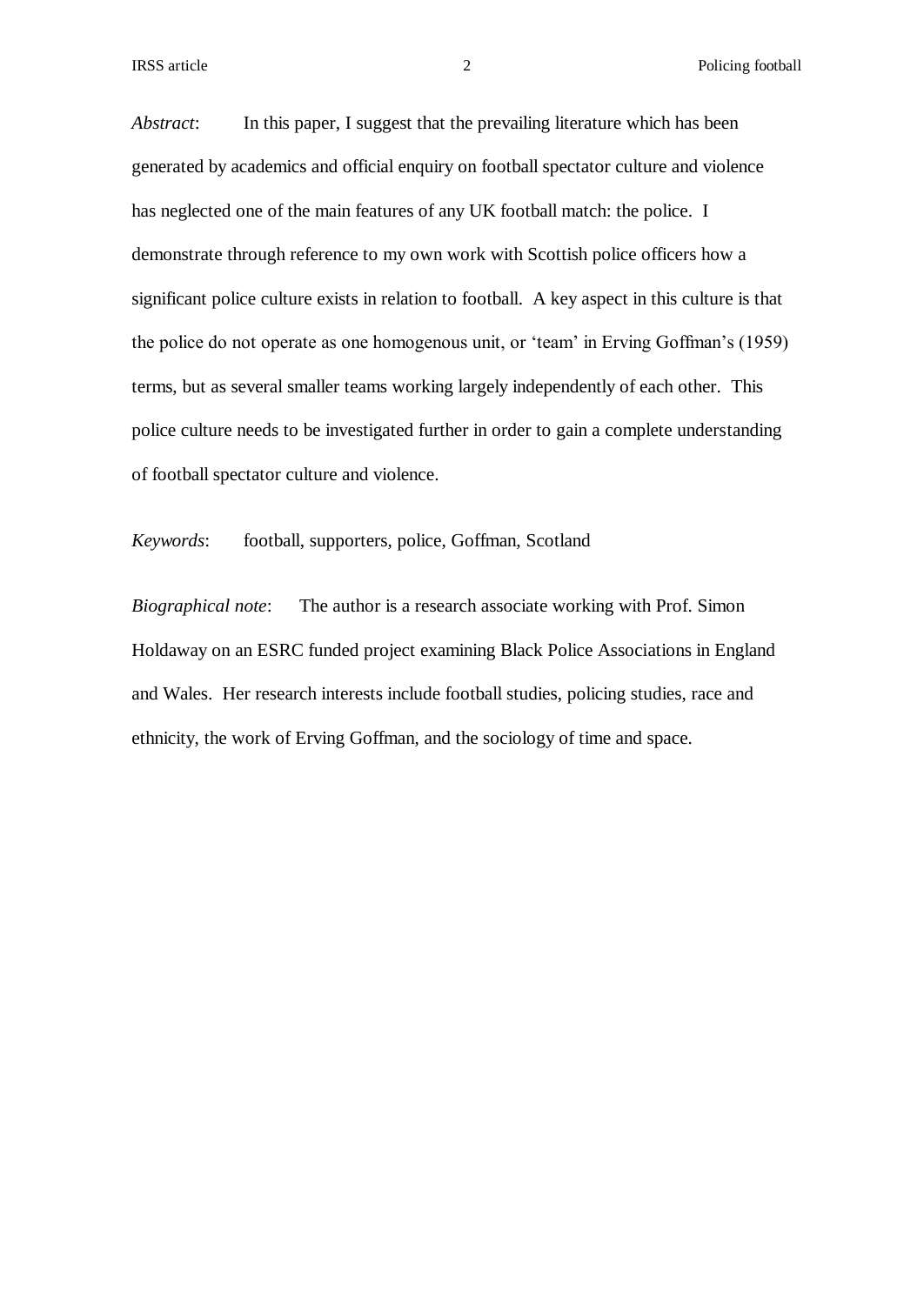*Abstract*: In this paper, I suggest that the prevailing literature which has been generated by academics and official enquiry on football spectator culture and violence has neglected one of the main features of any UK football match: the police. I demonstrate through reference to my own work with Scottish police officers how a significant police culture exists in relation to football. A key aspect in this culture is that the police do not operate as one homogenous unit, or "team" in Erving Goffman"s (1959) terms, but as several smaller teams working largely independently of each other. This police culture needs to be investigated further in order to gain a complete understanding of football spectator culture and violence.

*Keywords*: football, supporters, police, Goffman, Scotland

*Biographical note*: The author is a research associate working with Prof. Simon Holdaway on an ESRC funded project examining Black Police Associations in England and Wales. Her research interests include football studies, policing studies, race and ethnicity, the work of Erving Goffman, and the sociology of time and space.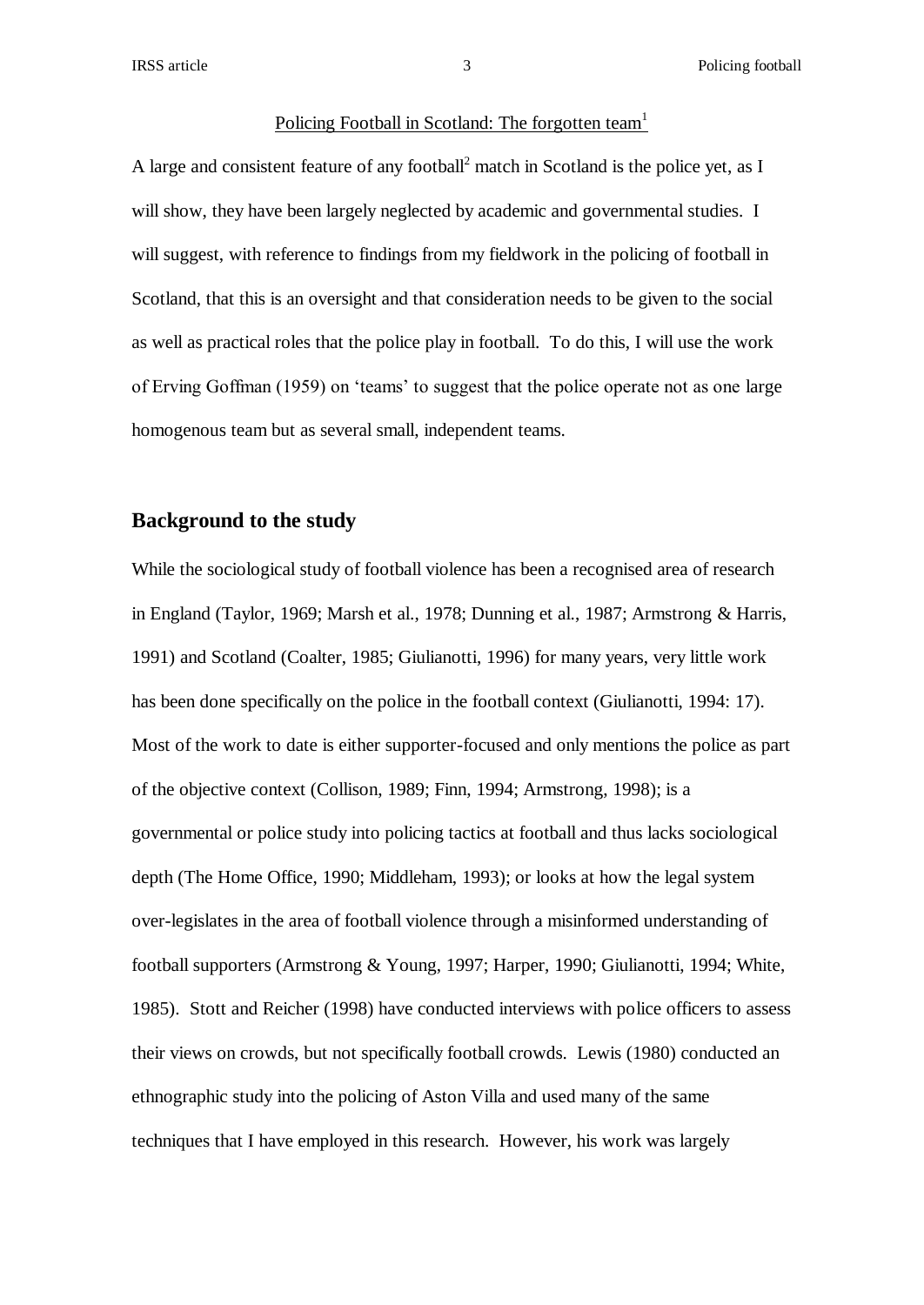#### Policing Football in Scotland: The forgotten team<sup>1</sup>

A large and consistent feature of any football<sup>2</sup> match in Scotland is the police yet, as I will show, they have been largely neglected by academic and governmental studies. I will suggest, with reference to findings from my fieldwork in the policing of football in Scotland, that this is an oversight and that consideration needs to be given to the social as well as practical roles that the police play in football. To do this, I will use the work of Erving Goffman (1959) on "teams" to suggest that the police operate not as one large homogenous team but as several small, independent teams.

# **Background to the study**

While the sociological study of football violence has been a recognised area of research in England (Taylor, 1969; Marsh et al., 1978; Dunning et al., 1987; Armstrong & Harris, 1991) and Scotland (Coalter, 1985; Giulianotti, 1996) for many years, very little work has been done specifically on the police in the football context (Giulianotti, 1994: 17). Most of the work to date is either supporter-focused and only mentions the police as part of the objective context (Collison, 1989; Finn, 1994; Armstrong, 1998); is a governmental or police study into policing tactics at football and thus lacks sociological depth (The Home Office, 1990; Middleham, 1993); or looks at how the legal system over-legislates in the area of football violence through a misinformed understanding of football supporters (Armstrong & Young, 1997; Harper, 1990; Giulianotti, 1994; White, 1985). Stott and Reicher (1998) have conducted interviews with police officers to assess their views on crowds, but not specifically football crowds. Lewis (1980) conducted an ethnographic study into the policing of Aston Villa and used many of the same techniques that I have employed in this research. However, his work was largely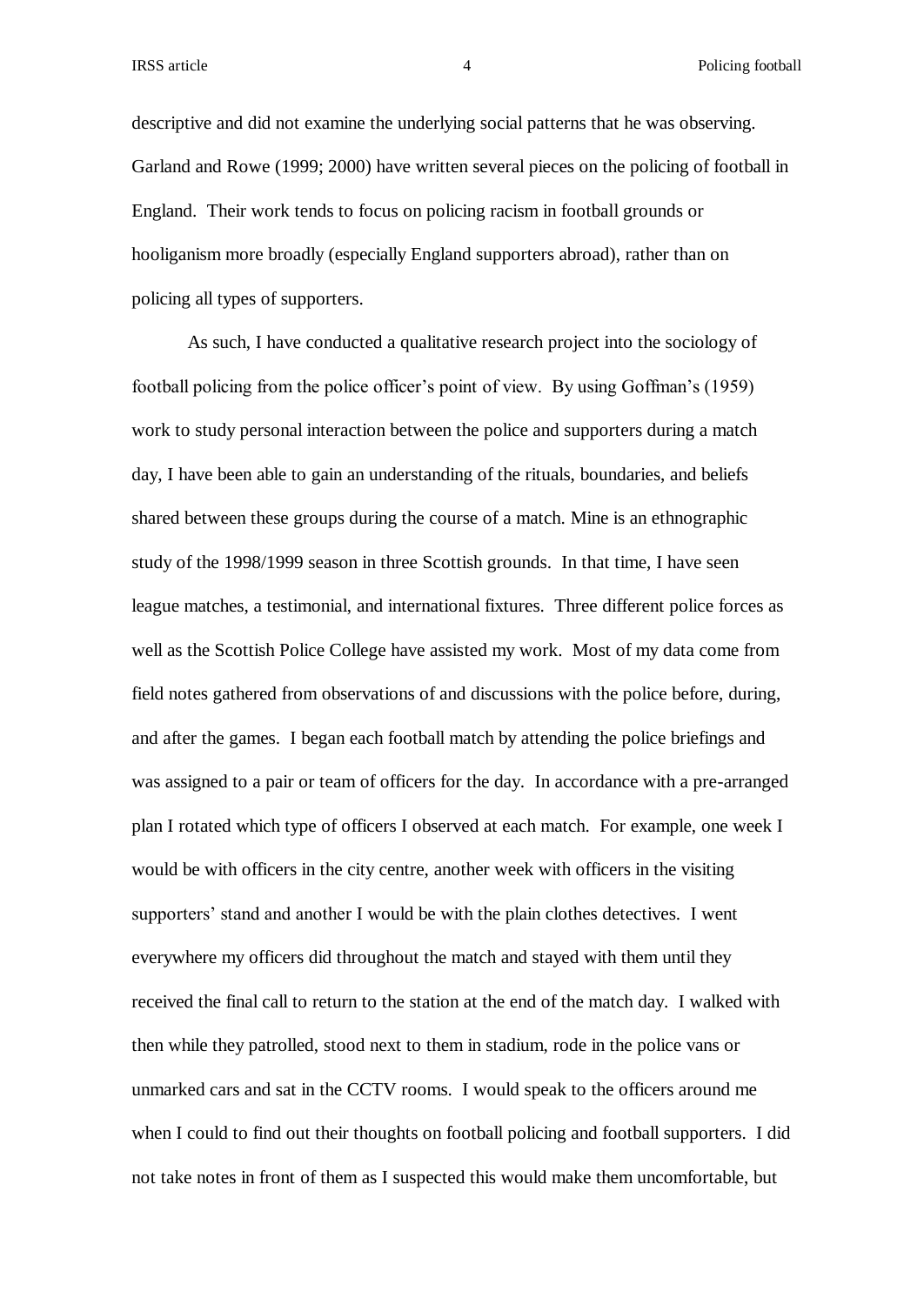IRSS article 4 Policing football

descriptive and did not examine the underlying social patterns that he was observing. Garland and Rowe (1999; 2000) have written several pieces on the policing of football in England. Their work tends to focus on policing racism in football grounds or hooliganism more broadly (especially England supporters abroad), rather than on policing all types of supporters.

As such, I have conducted a qualitative research project into the sociology of football policing from the police officer"s point of view. By using Goffman"s (1959) work to study personal interaction between the police and supporters during a match day, I have been able to gain an understanding of the rituals, boundaries, and beliefs shared between these groups during the course of a match. Mine is an ethnographic study of the 1998/1999 season in three Scottish grounds. In that time, I have seen league matches, a testimonial, and international fixtures. Three different police forces as well as the Scottish Police College have assisted my work. Most of my data come from field notes gathered from observations of and discussions with the police before, during, and after the games. I began each football match by attending the police briefings and was assigned to a pair or team of officers for the day. In accordance with a pre-arranged plan I rotated which type of officers I observed at each match. For example, one week I would be with officers in the city centre, another week with officers in the visiting supporters' stand and another I would be with the plain clothes detectives. I went everywhere my officers did throughout the match and stayed with them until they received the final call to return to the station at the end of the match day. I walked with then while they patrolled, stood next to them in stadium, rode in the police vans or unmarked cars and sat in the CCTV rooms. I would speak to the officers around me when I could to find out their thoughts on football policing and football supporters. I did not take notes in front of them as I suspected this would make them uncomfortable, but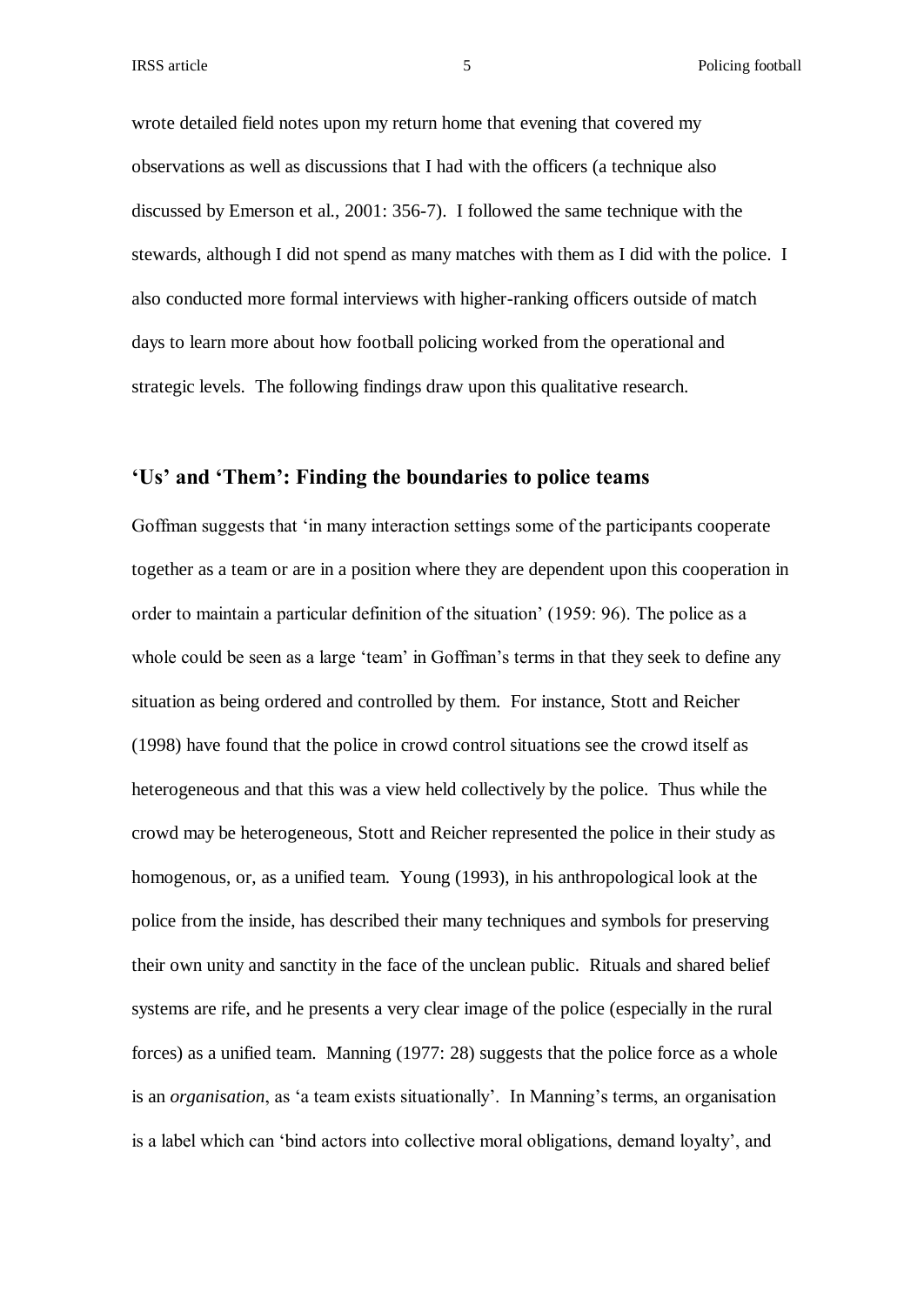wrote detailed field notes upon my return home that evening that covered my observations as well as discussions that I had with the officers (a technique also discussed by Emerson et al., 2001: 356-7). I followed the same technique with the stewards, although I did not spend as many matches with them as I did with the police. I also conducted more formal interviews with higher-ranking officers outside of match days to learn more about how football policing worked from the operational and strategic levels. The following findings draw upon this qualitative research.

# **'Us' and 'Them': Finding the boundaries to police teams**

Goffman suggests that "in many interaction settings some of the participants cooperate together as a team or are in a position where they are dependent upon this cooperation in order to maintain a particular definition of the situation" (1959: 96). The police as a whole could be seen as a large 'team' in Goffman's terms in that they seek to define any situation as being ordered and controlled by them. For instance, Stott and Reicher (1998) have found that the police in crowd control situations see the crowd itself as heterogeneous and that this was a view held collectively by the police. Thus while the crowd may be heterogeneous, Stott and Reicher represented the police in their study as homogenous, or, as a unified team. Young (1993), in his anthropological look at the police from the inside, has described their many techniques and symbols for preserving their own unity and sanctity in the face of the unclean public. Rituals and shared belief systems are rife, and he presents a very clear image of the police (especially in the rural forces) as a unified team. Manning (1977: 28) suggests that the police force as a whole is an *organisation*, as 'a team exists situationally'. In Manning's terms, an organisation is a label which can "bind actors into collective moral obligations, demand loyalty", and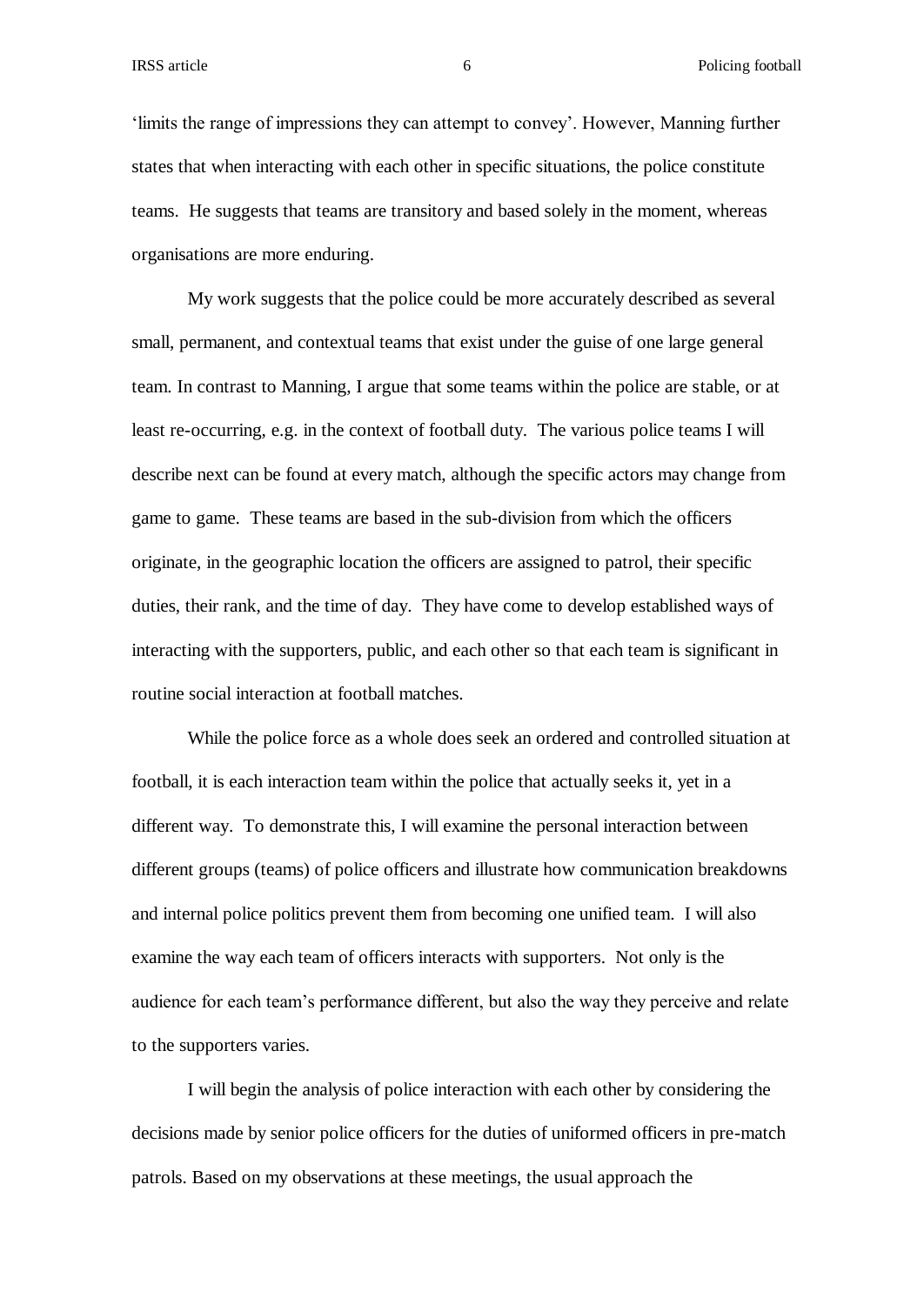IRSS article 6 and 1992 6 Policing football

"limits the range of impressions they can attempt to convey". However, Manning further states that when interacting with each other in specific situations, the police constitute teams. He suggests that teams are transitory and based solely in the moment, whereas organisations are more enduring.

My work suggests that the police could be more accurately described as several small, permanent, and contextual teams that exist under the guise of one large general team. In contrast to Manning, I argue that some teams within the police are stable, or at least re-occurring, e.g. in the context of football duty. The various police teams I will describe next can be found at every match, although the specific actors may change from game to game. These teams are based in the sub-division from which the officers originate, in the geographic location the officers are assigned to patrol, their specific duties, their rank, and the time of day. They have come to develop established ways of interacting with the supporters, public, and each other so that each team is significant in routine social interaction at football matches.

While the police force as a whole does seek an ordered and controlled situation at football, it is each interaction team within the police that actually seeks it, yet in a different way. To demonstrate this, I will examine the personal interaction between different groups (teams) of police officers and illustrate how communication breakdowns and internal police politics prevent them from becoming one unified team. I will also examine the way each team of officers interacts with supporters. Not only is the audience for each team"s performance different, but also the way they perceive and relate to the supporters varies.

I will begin the analysis of police interaction with each other by considering the decisions made by senior police officers for the duties of uniformed officers in pre-match patrols. Based on my observations at these meetings, the usual approach the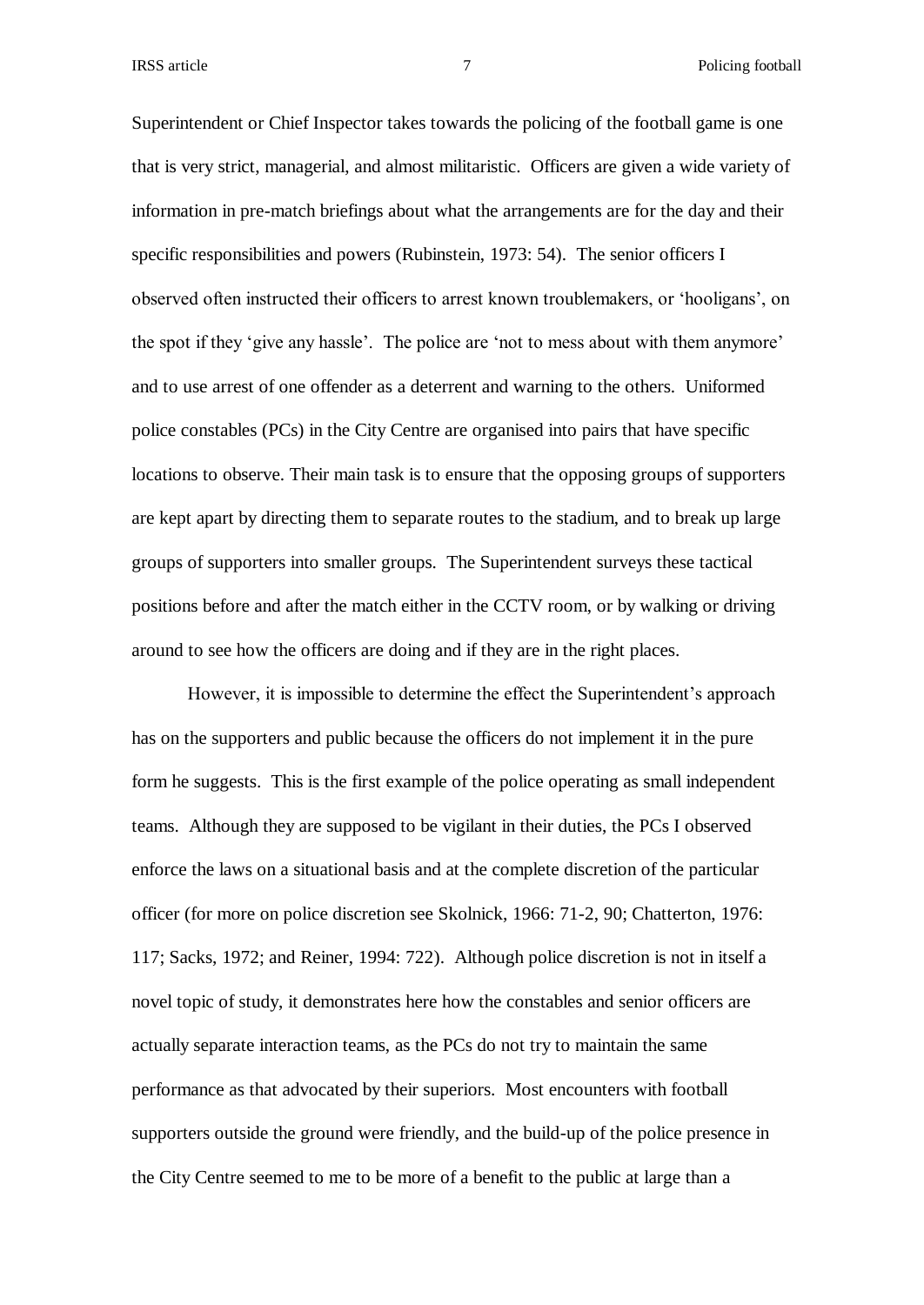IRSS article 2008 and 2008 7 Policing football

Superintendent or Chief Inspector takes towards the policing of the football game is one that is very strict, managerial, and almost militaristic. Officers are given a wide variety of information in pre-match briefings about what the arrangements are for the day and their specific responsibilities and powers (Rubinstein, 1973: 54). The senior officers I observed often instructed their officers to arrest known troublemakers, or "hooligans", on the spot if they "give any hassle". The police are "not to mess about with them anymore" and to use arrest of one offender as a deterrent and warning to the others. Uniformed police constables (PCs) in the City Centre are organised into pairs that have specific locations to observe. Their main task is to ensure that the opposing groups of supporters are kept apart by directing them to separate routes to the stadium, and to break up large groups of supporters into smaller groups. The Superintendent surveys these tactical positions before and after the match either in the CCTV room, or by walking or driving around to see how the officers are doing and if they are in the right places.

However, it is impossible to determine the effect the Superintendent's approach has on the supporters and public because the officers do not implement it in the pure form he suggests. This is the first example of the police operating as small independent teams. Although they are supposed to be vigilant in their duties, the PCs I observed enforce the laws on a situational basis and at the complete discretion of the particular officer (for more on police discretion see Skolnick, 1966: 71-2, 90; Chatterton, 1976: 117; Sacks, 1972; and Reiner, 1994: 722). Although police discretion is not in itself a novel topic of study, it demonstrates here how the constables and senior officers are actually separate interaction teams, as the PCs do not try to maintain the same performance as that advocated by their superiors. Most encounters with football supporters outside the ground were friendly, and the build-up of the police presence in the City Centre seemed to me to be more of a benefit to the public at large than a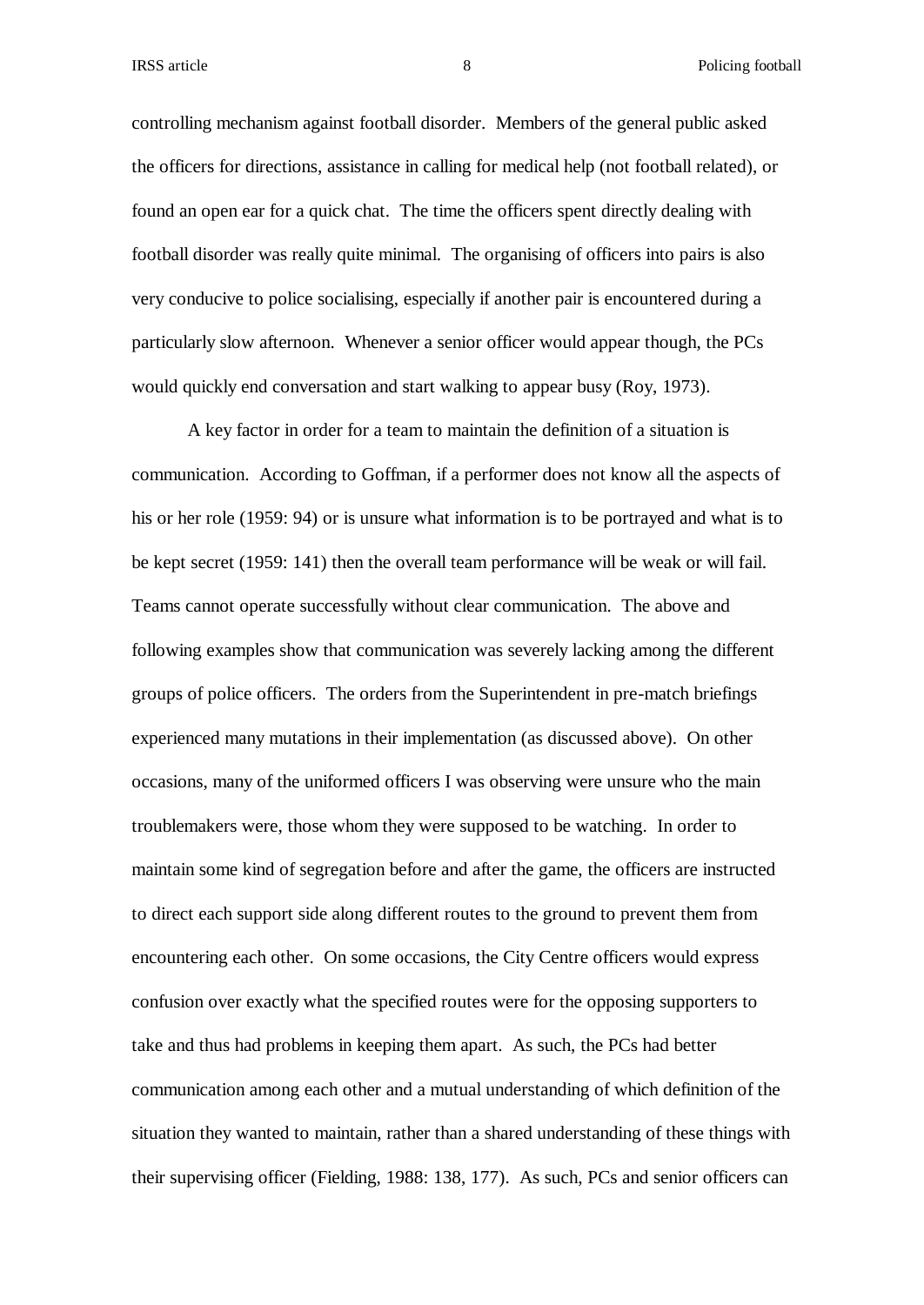IRSS article 8 and 8 Policing football 8 and 9 Policing football

controlling mechanism against football disorder. Members of the general public asked the officers for directions, assistance in calling for medical help (not football related), or found an open ear for a quick chat. The time the officers spent directly dealing with football disorder was really quite minimal. The organising of officers into pairs is also very conducive to police socialising, especially if another pair is encountered during a particularly slow afternoon. Whenever a senior officer would appear though, the PCs would quickly end conversation and start walking to appear busy (Roy, 1973).

A key factor in order for a team to maintain the definition of a situation is communication. According to Goffman, if a performer does not know all the aspects of his or her role (1959: 94) or is unsure what information is to be portrayed and what is to be kept secret (1959: 141) then the overall team performance will be weak or will fail. Teams cannot operate successfully without clear communication. The above and following examples show that communication was severely lacking among the different groups of police officers. The orders from the Superintendent in pre-match briefings experienced many mutations in their implementation (as discussed above). On other occasions, many of the uniformed officers I was observing were unsure who the main troublemakers were, those whom they were supposed to be watching. In order to maintain some kind of segregation before and after the game, the officers are instructed to direct each support side along different routes to the ground to prevent them from encountering each other. On some occasions, the City Centre officers would express confusion over exactly what the specified routes were for the opposing supporters to take and thus had problems in keeping them apart. As such, the PCs had better communication among each other and a mutual understanding of which definition of the situation they wanted to maintain, rather than a shared understanding of these things with their supervising officer (Fielding, 1988: 138, 177). As such, PCs and senior officers can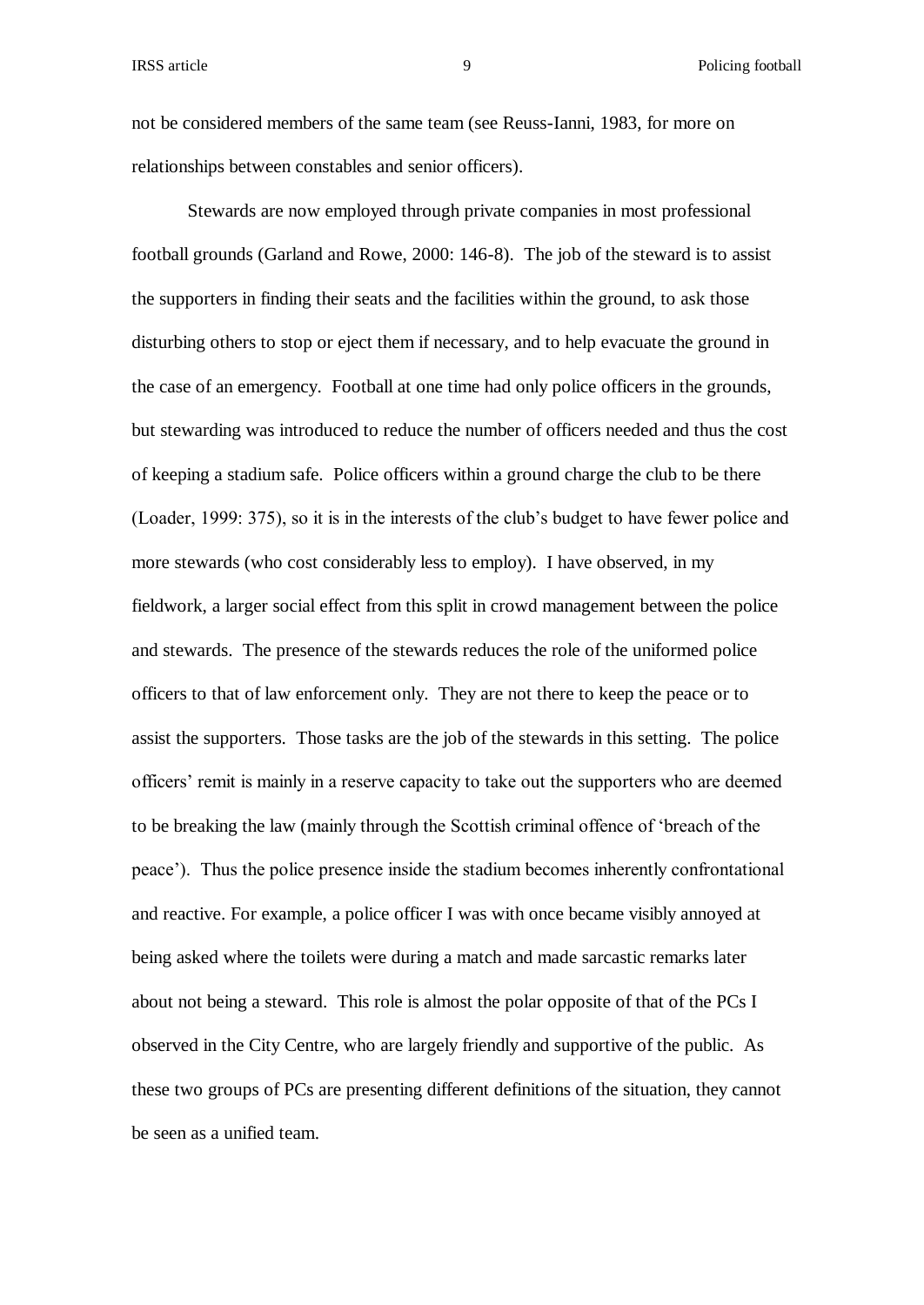#### IRSS article 2008 19 Policing football 9 Policing football

not be considered members of the same team (see Reuss-Ianni, 1983, for more on relationships between constables and senior officers).

Stewards are now employed through private companies in most professional football grounds (Garland and Rowe, 2000: 146-8). The job of the steward is to assist the supporters in finding their seats and the facilities within the ground, to ask those disturbing others to stop or eject them if necessary, and to help evacuate the ground in the case of an emergency. Football at one time had only police officers in the grounds, but stewarding was introduced to reduce the number of officers needed and thus the cost of keeping a stadium safe. Police officers within a ground charge the club to be there (Loader, 1999: 375), so it is in the interests of the club"s budget to have fewer police and more stewards (who cost considerably less to employ). I have observed, in my fieldwork, a larger social effect from this split in crowd management between the police and stewards. The presence of the stewards reduces the role of the uniformed police officers to that of law enforcement only. They are not there to keep the peace or to assist the supporters. Those tasks are the job of the stewards in this setting. The police officers" remit is mainly in a reserve capacity to take out the supporters who are deemed to be breaking the law (mainly through the Scottish criminal offence of "breach of the peace"). Thus the police presence inside the stadium becomes inherently confrontational and reactive. For example, a police officer I was with once became visibly annoyed at being asked where the toilets were during a match and made sarcastic remarks later about not being a steward. This role is almost the polar opposite of that of the PCs I observed in the City Centre, who are largely friendly and supportive of the public. As these two groups of PCs are presenting different definitions of the situation, they cannot be seen as a unified team.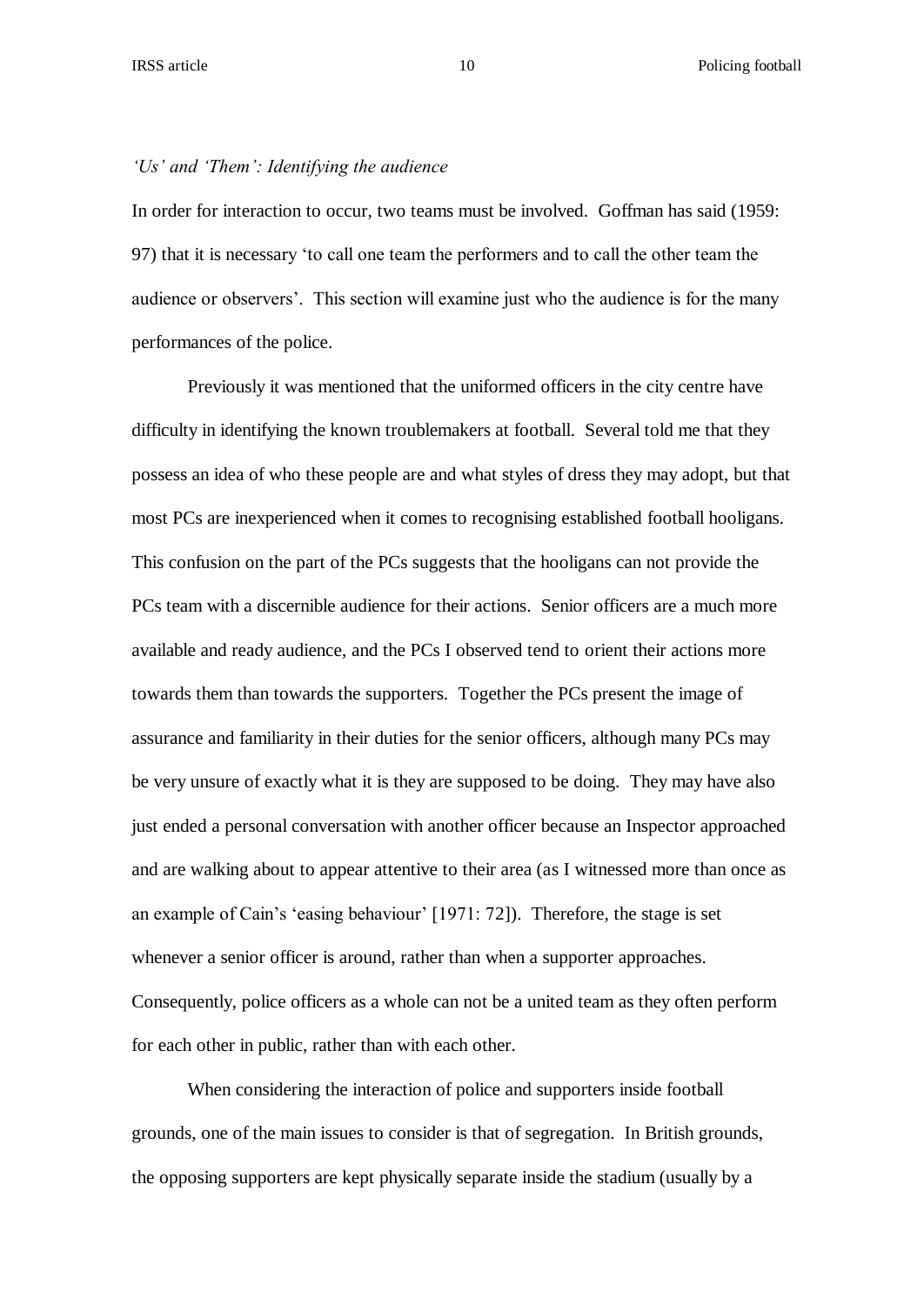#### *'Us' and 'Them': Identifying the audience*

In order for interaction to occur, two teams must be involved. Goffman has said (1959: 97) that it is necessary "to call one team the performers and to call the other team the audience or observers'. This section will examine just who the audience is for the many performances of the police.

Previously it was mentioned that the uniformed officers in the city centre have difficulty in identifying the known troublemakers at football. Several told me that they possess an idea of who these people are and what styles of dress they may adopt, but that most PCs are inexperienced when it comes to recognising established football hooligans. This confusion on the part of the PCs suggests that the hooligans can not provide the PCs team with a discernible audience for their actions. Senior officers are a much more available and ready audience, and the PCs I observed tend to orient their actions more towards them than towards the supporters. Together the PCs present the image of assurance and familiarity in their duties for the senior officers, although many PCs may be very unsure of exactly what it is they are supposed to be doing. They may have also just ended a personal conversation with another officer because an Inspector approached and are walking about to appear attentive to their area (as I witnessed more than once as an example of Cain"s "easing behaviour" [1971: 72]). Therefore, the stage is set whenever a senior officer is around, rather than when a supporter approaches. Consequently, police officers as a whole can not be a united team as they often perform for each other in public, rather than with each other.

When considering the interaction of police and supporters inside football grounds, one of the main issues to consider is that of segregation. In British grounds, the opposing supporters are kept physically separate inside the stadium (usually by a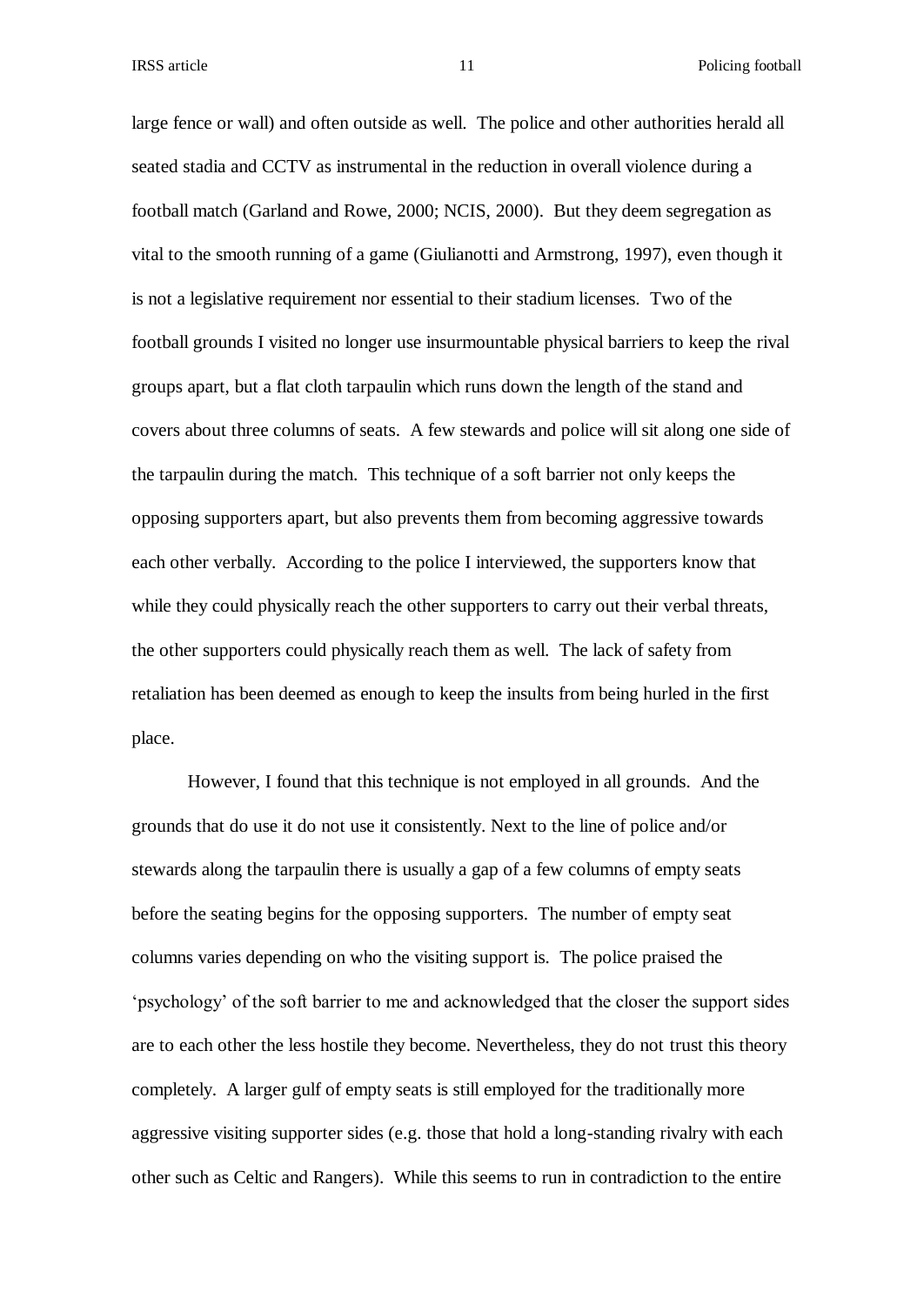IRSS article 11 Policing football

large fence or wall) and often outside as well. The police and other authorities herald all seated stadia and CCTV as instrumental in the reduction in overall violence during a football match (Garland and Rowe, 2000; NCIS, 2000). But they deem segregation as vital to the smooth running of a game (Giulianotti and Armstrong, 1997), even though it is not a legislative requirement nor essential to their stadium licenses. Two of the football grounds I visited no longer use insurmountable physical barriers to keep the rival groups apart, but a flat cloth tarpaulin which runs down the length of the stand and covers about three columns of seats. A few stewards and police will sit along one side of the tarpaulin during the match. This technique of a soft barrier not only keeps the opposing supporters apart, but also prevents them from becoming aggressive towards each other verbally. According to the police I interviewed, the supporters know that while they could physically reach the other supporters to carry out their verbal threats, the other supporters could physically reach them as well. The lack of safety from retaliation has been deemed as enough to keep the insults from being hurled in the first place.

However, I found that this technique is not employed in all grounds. And the grounds that do use it do not use it consistently. Next to the line of police and/or stewards along the tarpaulin there is usually a gap of a few columns of empty seats before the seating begins for the opposing supporters. The number of empty seat columns varies depending on who the visiting support is. The police praised the "psychology" of the soft barrier to me and acknowledged that the closer the support sides are to each other the less hostile they become. Nevertheless, they do not trust this theory completely. A larger gulf of empty seats is still employed for the traditionally more aggressive visiting supporter sides (e.g. those that hold a long-standing rivalry with each other such as Celtic and Rangers). While this seems to run in contradiction to the entire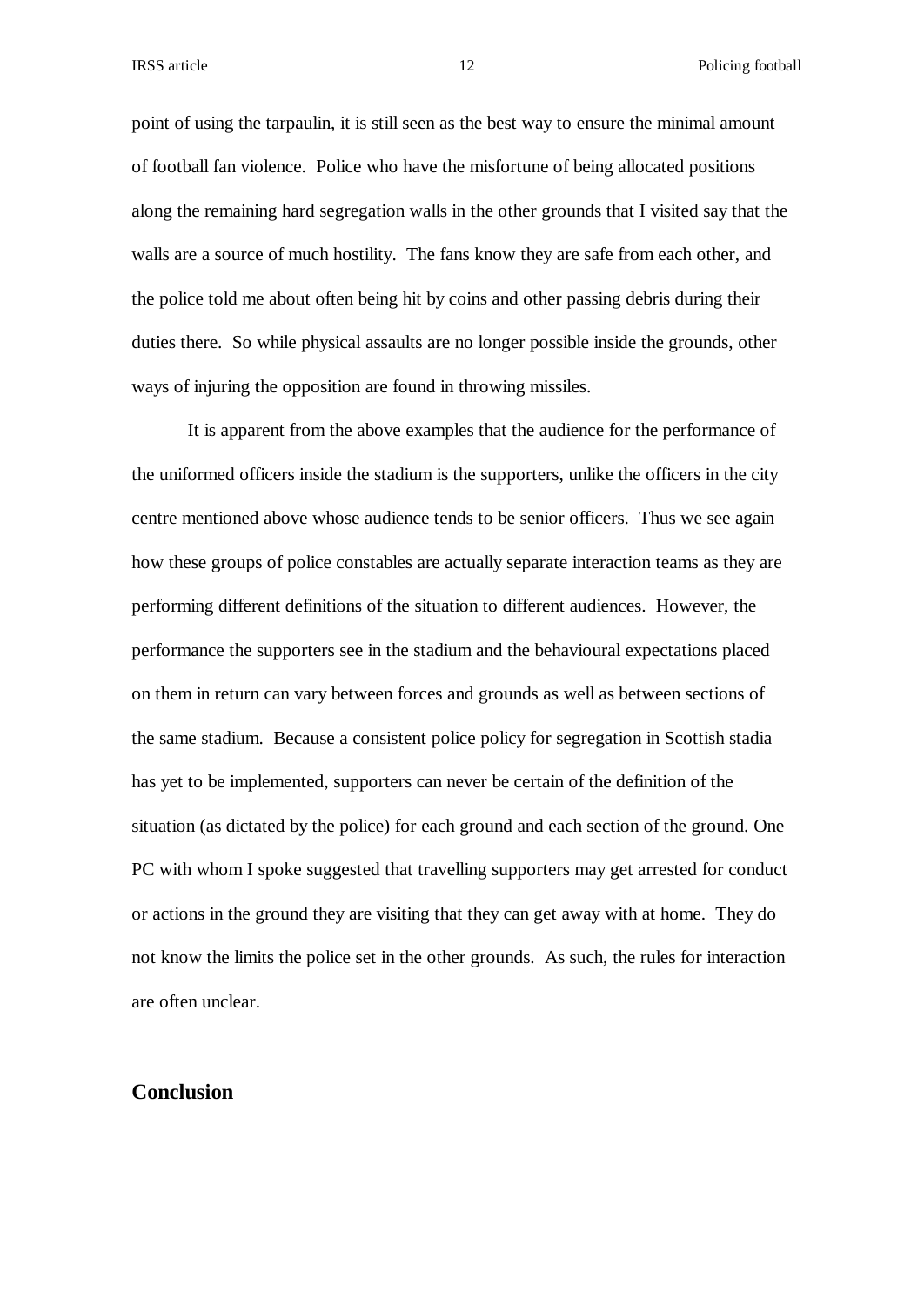IRSS article 12 Policing football

point of using the tarpaulin, it is still seen as the best way to ensure the minimal amount of football fan violence. Police who have the misfortune of being allocated positions along the remaining hard segregation walls in the other grounds that I visited say that the walls are a source of much hostility. The fans know they are safe from each other, and the police told me about often being hit by coins and other passing debris during their duties there. So while physical assaults are no longer possible inside the grounds, other ways of injuring the opposition are found in throwing missiles.

It is apparent from the above examples that the audience for the performance of the uniformed officers inside the stadium is the supporters, unlike the officers in the city centre mentioned above whose audience tends to be senior officers. Thus we see again how these groups of police constables are actually separate interaction teams as they are performing different definitions of the situation to different audiences. However, the performance the supporters see in the stadium and the behavioural expectations placed on them in return can vary between forces and grounds as well as between sections of the same stadium. Because a consistent police policy for segregation in Scottish stadia has yet to be implemented, supporters can never be certain of the definition of the situation (as dictated by the police) for each ground and each section of the ground. One PC with whom I spoke suggested that travelling supporters may get arrested for conduct or actions in the ground they are visiting that they can get away with at home. They do not know the limits the police set in the other grounds. As such, the rules for interaction are often unclear.

#### **Conclusion**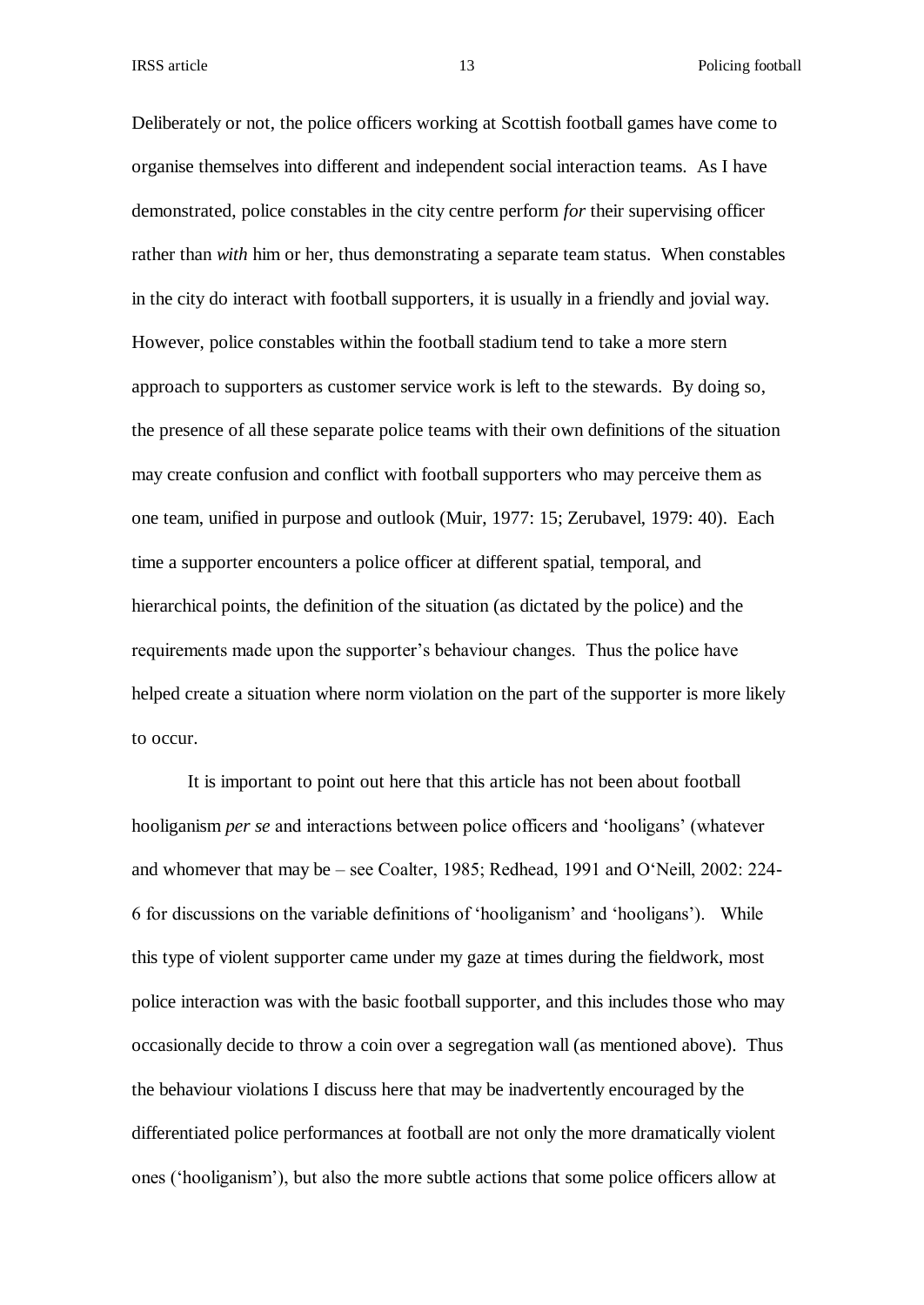IRSS article 13 Policing football

Deliberately or not, the police officers working at Scottish football games have come to organise themselves into different and independent social interaction teams. As I have demonstrated, police constables in the city centre perform *for* their supervising officer rather than *with* him or her, thus demonstrating a separate team status. When constables in the city do interact with football supporters, it is usually in a friendly and jovial way. However, police constables within the football stadium tend to take a more stern approach to supporters as customer service work is left to the stewards. By doing so, the presence of all these separate police teams with their own definitions of the situation may create confusion and conflict with football supporters who may perceive them as one team, unified in purpose and outlook (Muir, 1977: 15; Zerubavel, 1979: 40). Each time a supporter encounters a police officer at different spatial, temporal, and hierarchical points, the definition of the situation (as dictated by the police) and the requirements made upon the supporter's behaviour changes. Thus the police have helped create a situation where norm violation on the part of the supporter is more likely to occur.

It is important to point out here that this article has not been about football hooliganism *per se* and interactions between police officers and "hooligans" (whatever and whomever that may be – see Coalter, 1985; Redhead, 1991 and O"Neill, 2002: 224- 6 for discussions on the variable definitions of "hooliganism" and "hooligans"). While this type of violent supporter came under my gaze at times during the fieldwork, most police interaction was with the basic football supporter, and this includes those who may occasionally decide to throw a coin over a segregation wall (as mentioned above). Thus the behaviour violations I discuss here that may be inadvertently encouraged by the differentiated police performances at football are not only the more dramatically violent ones ("hooliganism"), but also the more subtle actions that some police officers allow at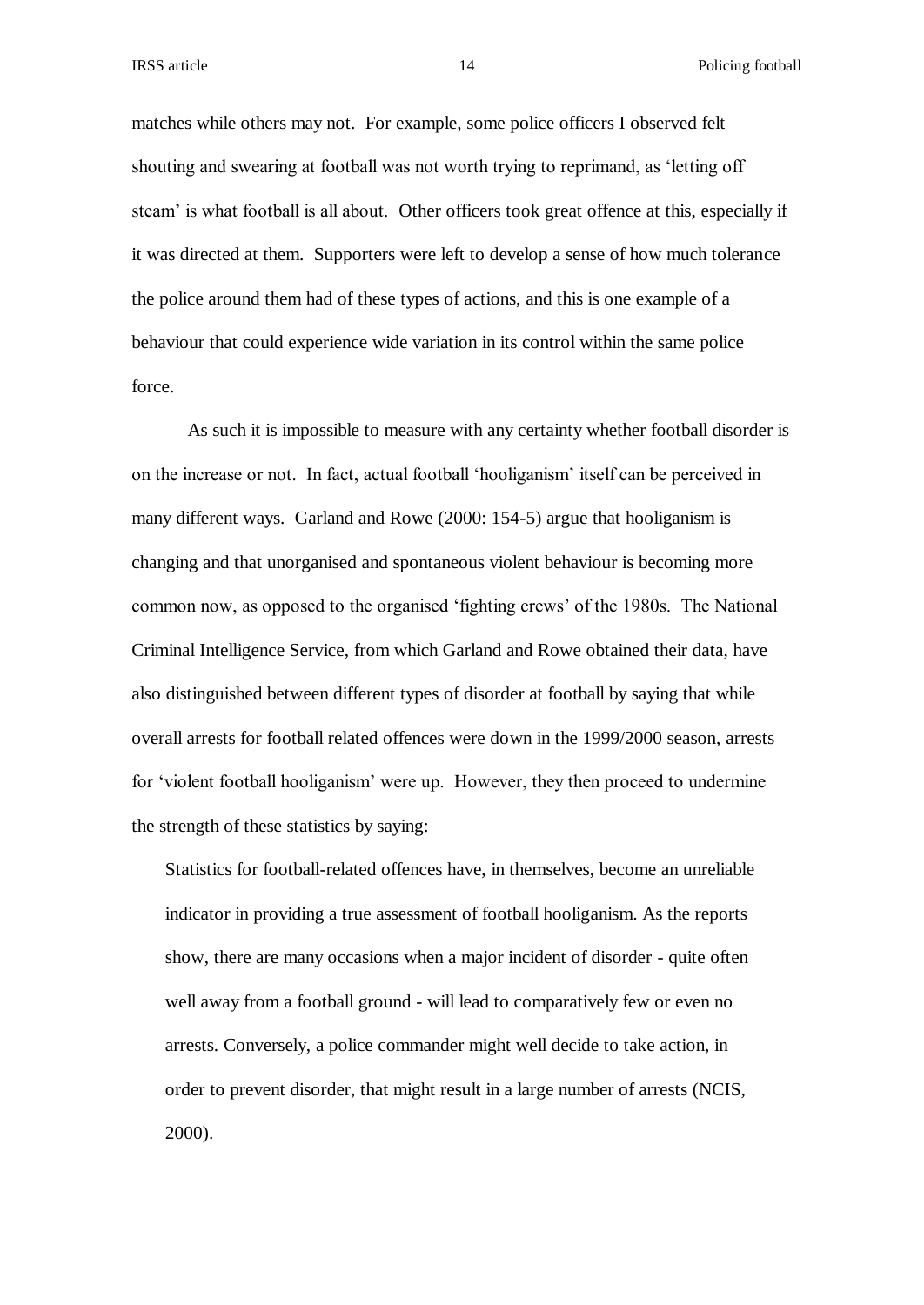IRSS article 14 Policing football

matches while others may not. For example, some police officers I observed felt shouting and swearing at football was not worth trying to reprimand, as "letting off steam" is what football is all about. Other officers took great offence at this, especially if it was directed at them. Supporters were left to develop a sense of how much tolerance the police around them had of these types of actions, and this is one example of a behaviour that could experience wide variation in its control within the same police force.

As such it is impossible to measure with any certainty whether football disorder is on the increase or not. In fact, actual football "hooliganism" itself can be perceived in many different ways. Garland and Rowe (2000: 154-5) argue that hooliganism is changing and that unorganised and spontaneous violent behaviour is becoming more common now, as opposed to the organised "fighting crews" of the 1980s. The National Criminal Intelligence Service, from which Garland and Rowe obtained their data, have also distinguished between different types of disorder at football by saying that while overall arrests for football related offences were down in the 1999/2000 season, arrests for "violent football hooliganism" were up. However, they then proceed to undermine the strength of these statistics by saying:

Statistics for football-related offences have, in themselves, become an unreliable indicator in providing a true assessment of football hooliganism. As the reports show, there are many occasions when a major incident of disorder - quite often well away from a football ground - will lead to comparatively few or even no arrests. Conversely, a police commander might well decide to take action, in order to prevent disorder, that might result in a large number of arrests (NCIS, 2000).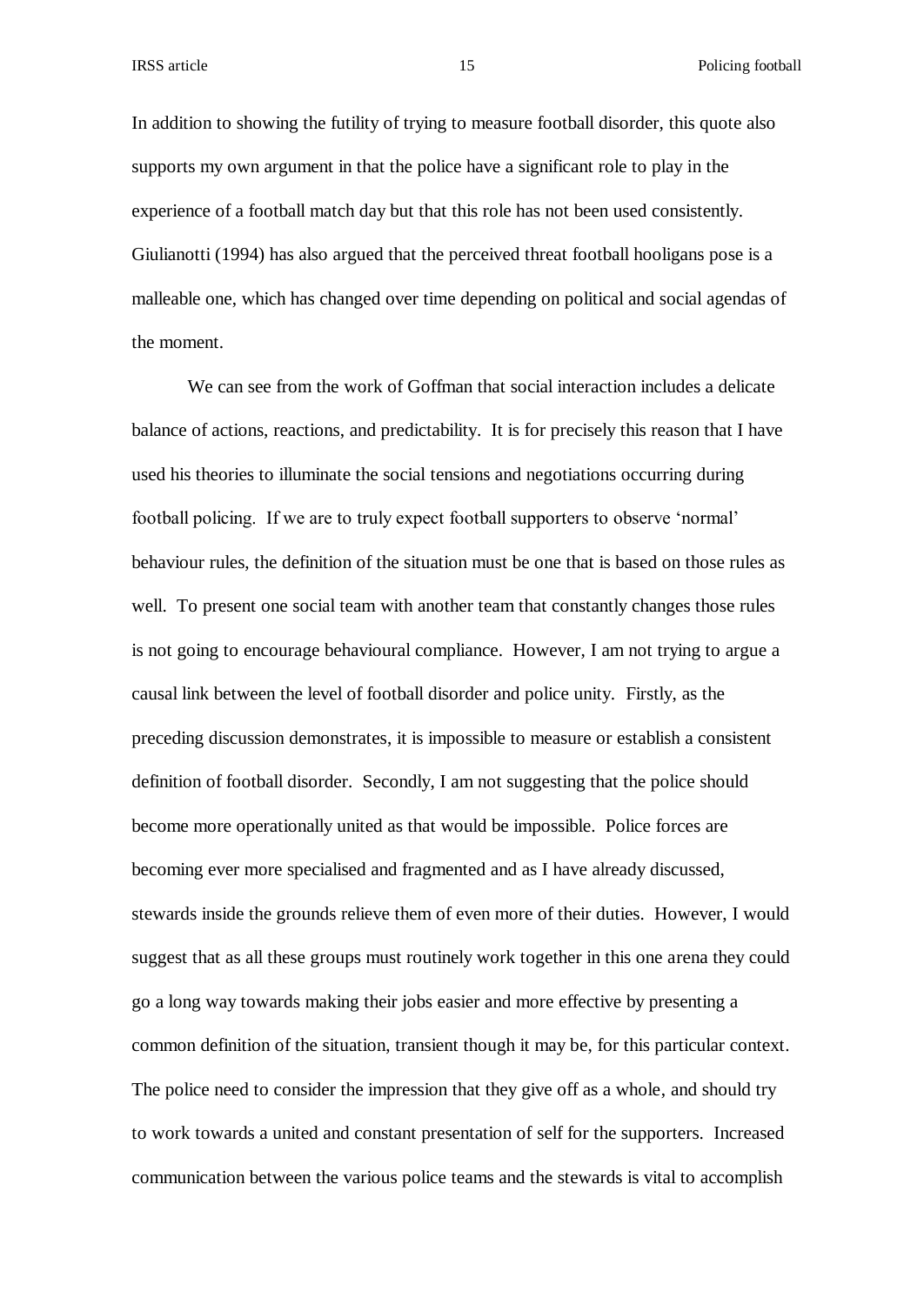IRSS article 15 and 15 Policing football

In addition to showing the futility of trying to measure football disorder, this quote also supports my own argument in that the police have a significant role to play in the experience of a football match day but that this role has not been used consistently. Giulianotti (1994) has also argued that the perceived threat football hooligans pose is a malleable one, which has changed over time depending on political and social agendas of the moment.

We can see from the work of Goffman that social interaction includes a delicate balance of actions, reactions, and predictability. It is for precisely this reason that I have used his theories to illuminate the social tensions and negotiations occurring during football policing. If we are to truly expect football supporters to observe "normal" behaviour rules, the definition of the situation must be one that is based on those rules as well. To present one social team with another team that constantly changes those rules is not going to encourage behavioural compliance. However, I am not trying to argue a causal link between the level of football disorder and police unity. Firstly, as the preceding discussion demonstrates, it is impossible to measure or establish a consistent definition of football disorder. Secondly, I am not suggesting that the police should become more operationally united as that would be impossible. Police forces are becoming ever more specialised and fragmented and as I have already discussed, stewards inside the grounds relieve them of even more of their duties. However, I would suggest that as all these groups must routinely work together in this one arena they could go a long way towards making their jobs easier and more effective by presenting a common definition of the situation, transient though it may be, for this particular context. The police need to consider the impression that they give off as a whole, and should try to work towards a united and constant presentation of self for the supporters. Increased communication between the various police teams and the stewards is vital to accomplish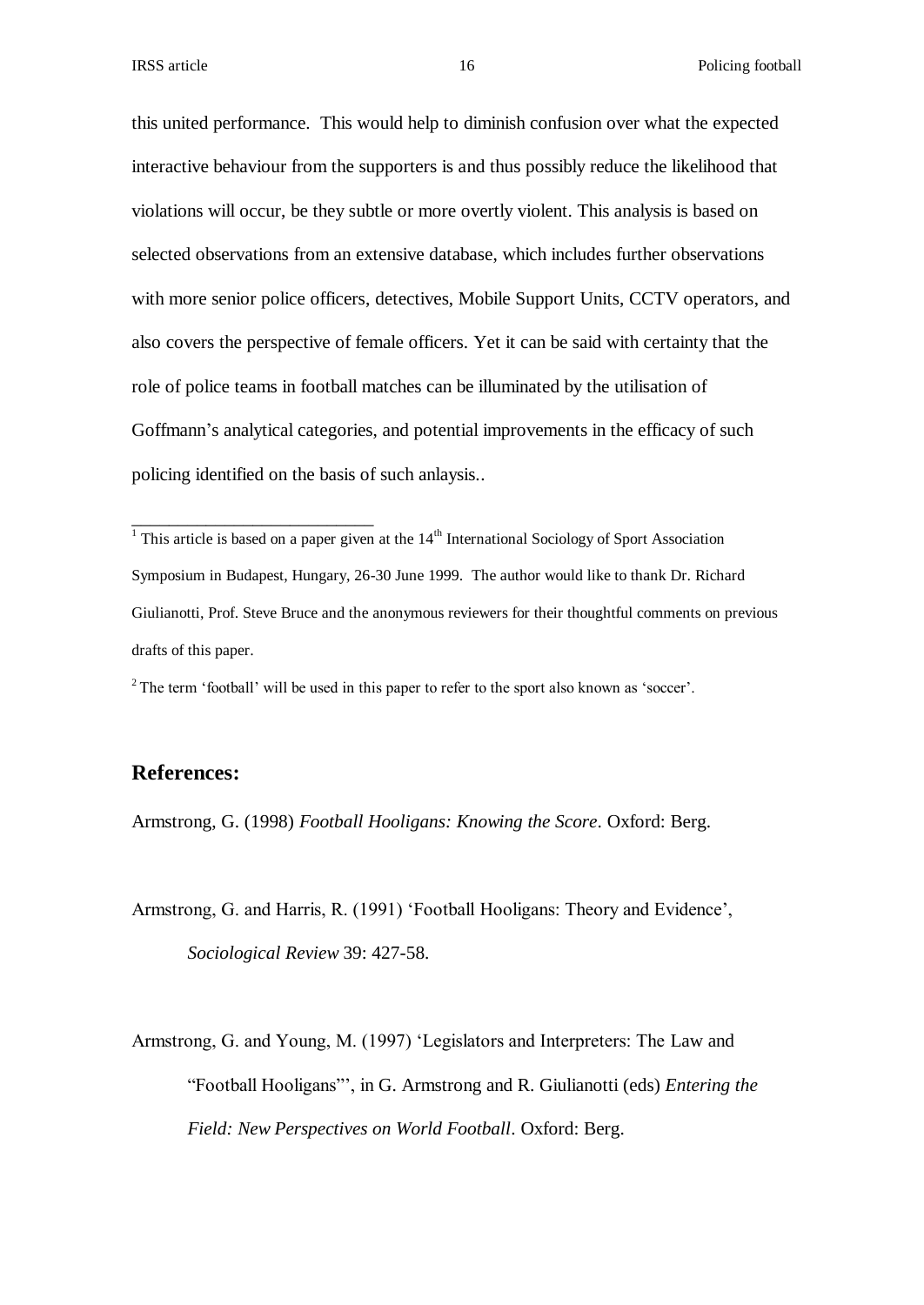this united performance. This would help to diminish confusion over what the expected interactive behaviour from the supporters is and thus possibly reduce the likelihood that violations will occur, be they subtle or more overtly violent. This analysis is based on selected observations from an extensive database, which includes further observations with more senior police officers, detectives, Mobile Support Units, CCTV operators, and also covers the perspective of female officers. Yet it can be said with certainty that the role of police teams in football matches can be illuminated by the utilisation of Goffmann"s analytical categories, and potential improvements in the efficacy of such policing identified on the basis of such anlaysis..

 $2^2$  The term 'football' will be used in this paper to refer to the sport also known as 'soccer'.

# **References:**

\_\_\_\_\_\_\_\_\_\_\_\_\_\_\_\_\_\_\_\_\_\_\_\_\_\_

Armstrong, G. (1998) *Football Hooligans: Knowing the Score*. Oxford: Berg.

Armstrong, G. and Harris, R. (1991) "Football Hooligans: Theory and Evidence", *Sociological Review* 39: 427-58.

Armstrong, G. and Young, M. (1997) "Legislators and Interpreters: The Law and "Football Hooligans"", in G. Armstrong and R. Giulianotti (eds) *Entering the Field: New Perspectives on World Football*. Oxford: Berg.

<sup>&</sup>lt;sup>1</sup> This article is based on a paper given at the  $14<sup>th</sup>$  International Sociology of Sport Association Symposium in Budapest, Hungary, 26-30 June 1999. The author would like to thank Dr. Richard Giulianotti, Prof. Steve Bruce and the anonymous reviewers for their thoughtful comments on previous drafts of this paper.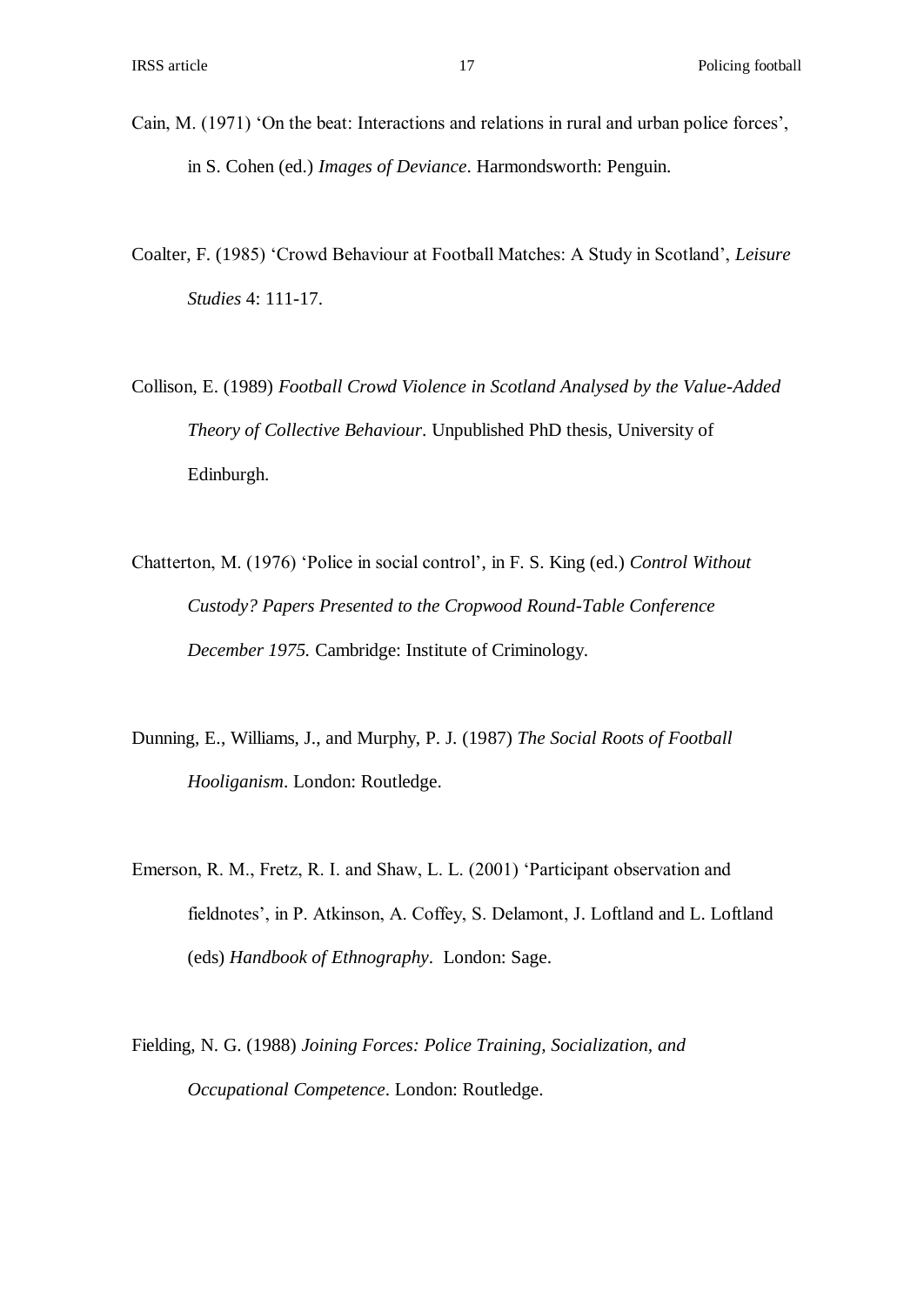- Cain, M. (1971) 'On the beat: Interactions and relations in rural and urban police forces', in S. Cohen (ed.) *Images of Deviance*. Harmondsworth: Penguin.
- Coalter, F. (1985) "Crowd Behaviour at Football Matches: A Study in Scotland", *Leisure Studies* 4: 111-17.
- Collison, E. (1989) *Football Crowd Violence in Scotland Analysed by the Value-Added Theory of Collective Behaviour*. Unpublished PhD thesis, University of Edinburgh.
- Chatterton, M. (1976) "Police in social control", in F. S. King (ed.) *Control Without Custody? Papers Presented to the Cropwood Round-Table Conference December 1975.* Cambridge: Institute of Criminology.
- Dunning, E., Williams, J., and Murphy, P. J. (1987) *The Social Roots of Football Hooliganism*. London: Routledge.
- Emerson, R. M., Fretz, R. I. and Shaw, L. L. (2001) "Participant observation and fieldnotes", in P. Atkinson, A. Coffey, S. Delamont, J. Loftland and L. Loftland (eds) *Handbook of Ethnography*. London: Sage.
- Fielding, N. G. (1988) *Joining Forces: Police Training, Socialization, and Occupational Competence*. London: Routledge.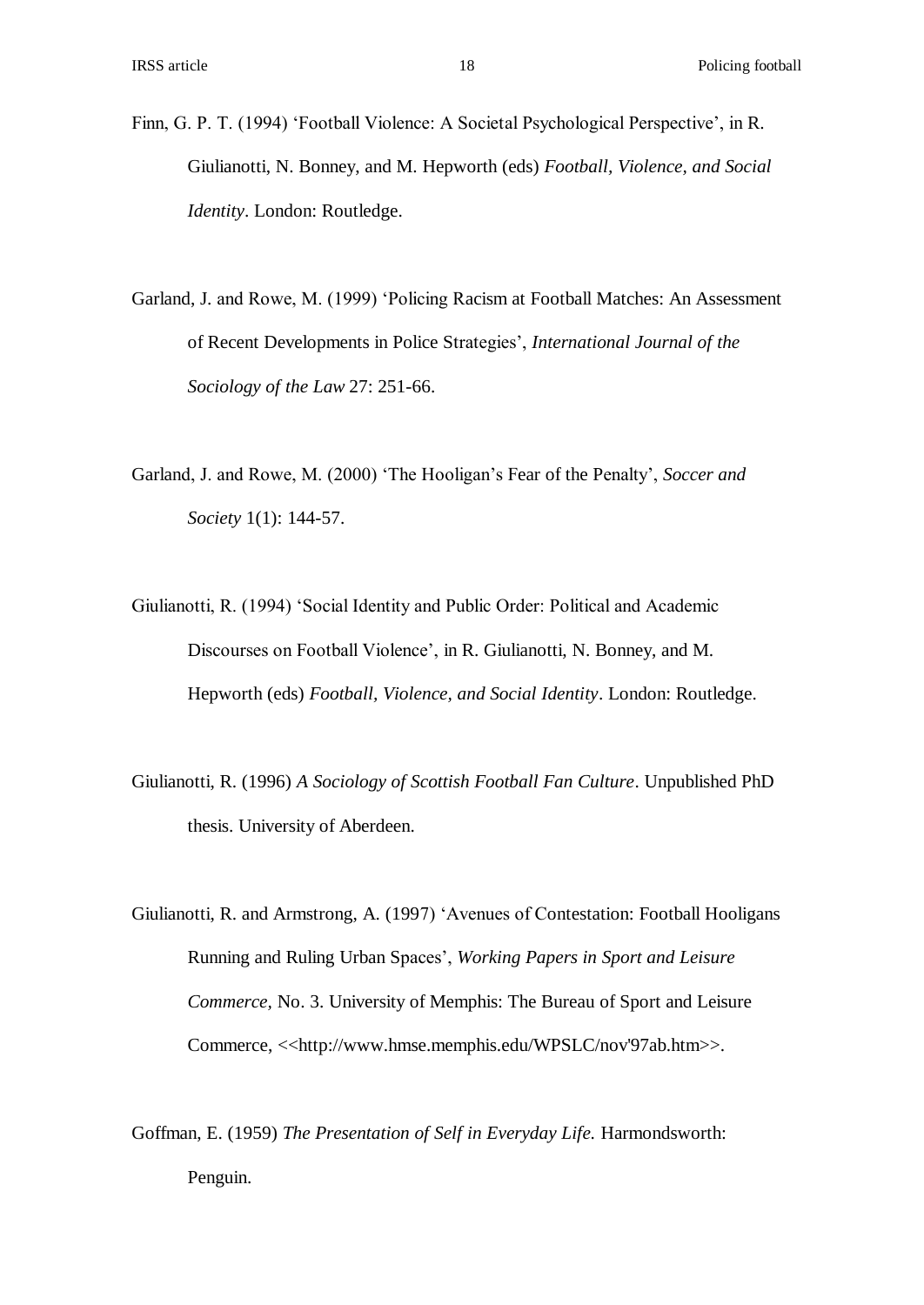- Finn, G. P. T. (1994) "Football Violence: A Societal Psychological Perspective", in R. Giulianotti, N. Bonney, and M. Hepworth (eds) *Football, Violence, and Social Identity*. London: Routledge.
- Garland, J. and Rowe, M. (1999) "Policing Racism at Football Matches: An Assessment of Recent Developments in Police Strategies", *International Journal of the Sociology of the Law* 27: 251-66.
- Garland, J. and Rowe, M. (2000) "The Hooligan"s Fear of the Penalty", *Soccer and Society* 1(1): 144-57.
- Giulianotti, R. (1994) "Social Identity and Public Order: Political and Academic Discourses on Football Violence", in R. Giulianotti, N. Bonney, and M. Hepworth (eds) *Football, Violence, and Social Identity*. London: Routledge.
- Giulianotti, R. (1996) *A Sociology of Scottish Football Fan Culture*. Unpublished PhD thesis. University of Aberdeen.
- Giulianotti, R. and Armstrong, A. (1997) "Avenues of Contestation: Football Hooligans Running and Ruling Urban Spaces", *Working Papers in Sport and Leisure Commerce,* No. 3. University of Memphis: The Bureau of Sport and Leisure Commerce, <<http://www.hmse.memphis.edu/WPSLC/nov'97ab.htm>>.
- Goffman, E. (1959) *The Presentation of Self in Everyday Life.* Harmondsworth: Penguin.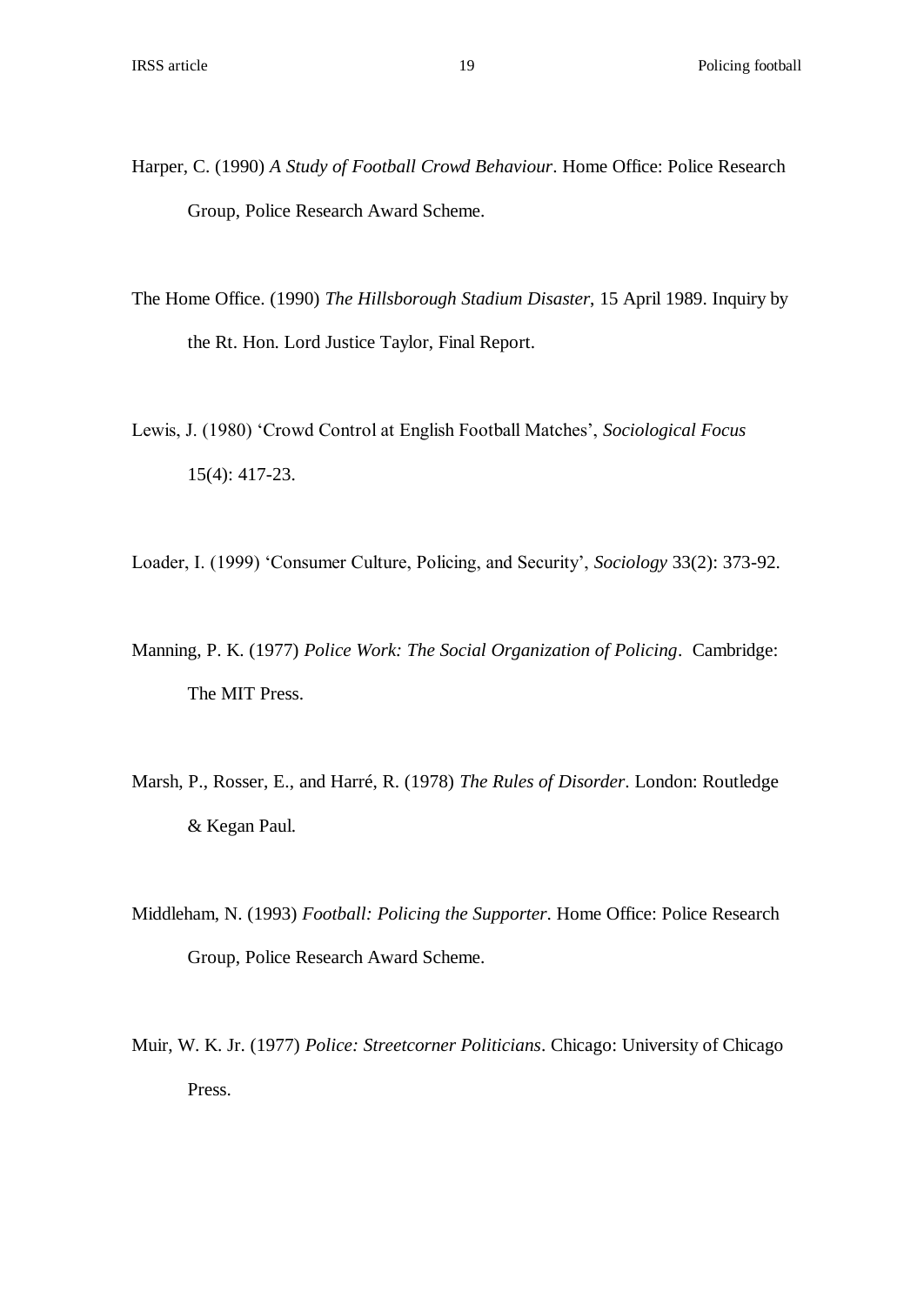- Harper, C. (1990) *A Study of Football Crowd Behaviour*. Home Office: Police Research Group, Police Research Award Scheme.
- The Home Office. (1990) *The Hillsborough Stadium Disaster*, 15 April 1989. Inquiry by the Rt. Hon. Lord Justice Taylor, Final Report.
- Lewis, J. (1980) "Crowd Control at English Football Matches", *Sociological Focus*  15(4): 417-23.
- Loader, I. (1999) "Consumer Culture, Policing, and Security", *Sociology* 33(2): 373-92.
- Manning, P. K. (1977) *Police Work: The Social Organization of Policing*. Cambridge: The MIT Press.
- Marsh, P., Rosser, E., and Harré, R. (1978) *The Rules of Disorder*. London: Routledge & Kegan Paul.
- Middleham, N. (1993) *Football: Policing the Supporter*. Home Office: Police Research Group, Police Research Award Scheme.
- Muir, W. K. Jr. (1977) *Police: Streetcorner Politicians*. Chicago: University of Chicago Press.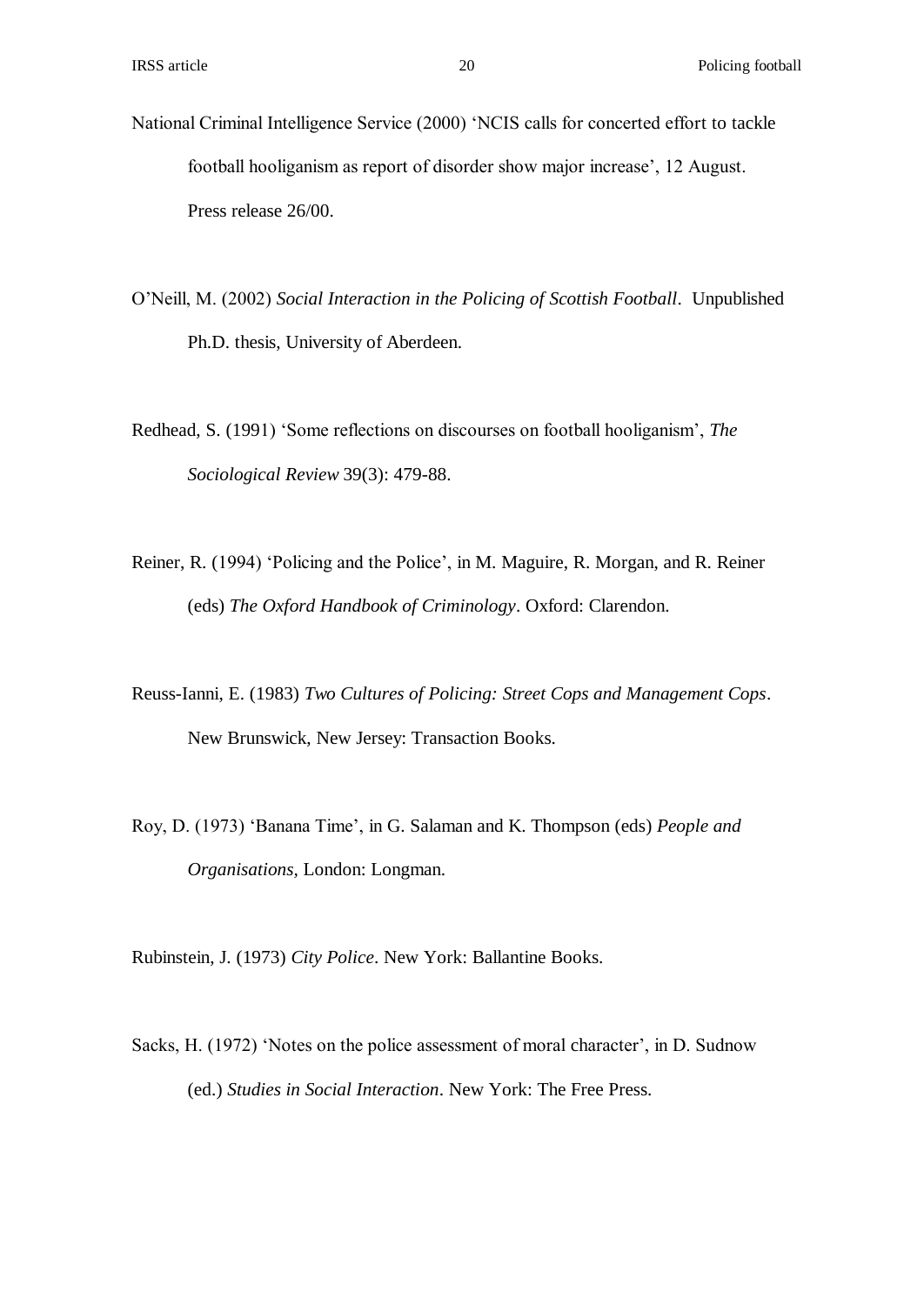- National Criminal Intelligence Service (2000) "NCIS calls for concerted effort to tackle football hooliganism as report of disorder show major increase', 12 August. Press release 26/00.
- O"Neill, M. (2002) *Social Interaction in the Policing of Scottish Football*. Unpublished Ph.D. thesis, University of Aberdeen.
- Redhead, S. (1991) "Some reflections on discourses on football hooliganism", *The Sociological Review* 39(3): 479-88.
- Reiner, R. (1994) "Policing and the Police", in M. Maguire, R. Morgan, and R. Reiner (eds) *The Oxford Handbook of Criminology*. Oxford: Clarendon.
- Reuss-Ianni, E. (1983) *Two Cultures of Policing: Street Cops and Management Cops*. New Brunswick, New Jersey: Transaction Books.
- Roy, D. (1973) "Banana Time", in G. Salaman and K. Thompson (eds) *People and Organisations,* London: Longman.

Rubinstein, J. (1973) *City Police*. New York: Ballantine Books.

Sacks, H. (1972) 'Notes on the police assessment of moral character', in D. Sudnow (ed.) *Studies in Social Interaction*. New York: The Free Press.